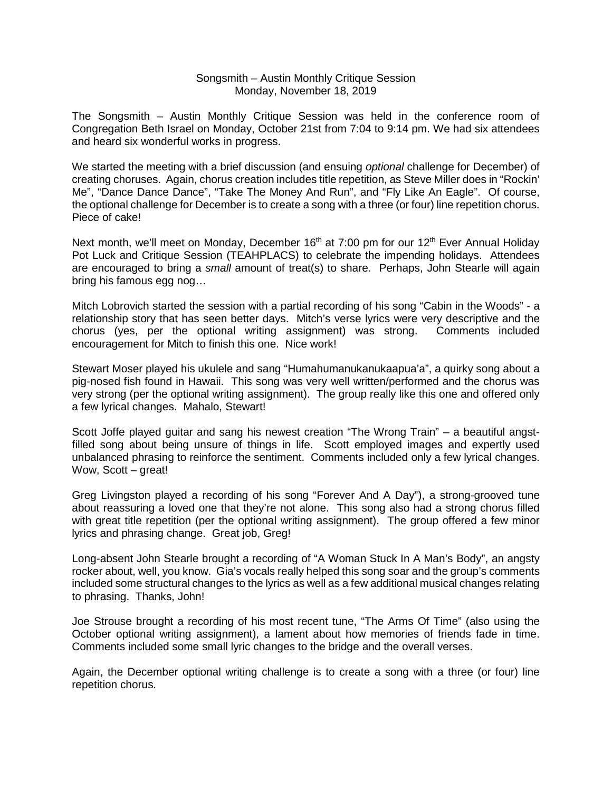## Songsmith – Austin Monthly Critique Session Monday, November 18, 2019

The Songsmith – Austin Monthly Critique Session was held in the conference room of Congregation Beth Israel on Monday, October 21st from 7:04 to 9:14 pm. We had six attendees and heard six wonderful works in progress.

We started the meeting with a brief discussion (and ensuing *optional* challenge for December) of creating choruses. Again, chorus creation includes title repetition, as Steve Miller does in "Rockin' Me", "Dance Dance Dance", "Take The Money And Run", and "Fly Like An Eagle". Of course, the optional challenge for December is to create a song with a three (or four) line repetition chorus. Piece of cake!

Next month, we'll meet on Monday, December 16<sup>th</sup> at 7:00 pm for our 12<sup>th</sup> Ever Annual Holiday Pot Luck and Critique Session (TEAHPLACS) to celebrate the impending holidays. Attendees are encouraged to bring a *small* amount of treat(s) to share. Perhaps, John Stearle will again bring his famous egg nog…

Mitch Lobrovich started the session with a partial recording of his song "Cabin in the Woods" - a relationship story that has seen better days. Mitch's verse lyrics were very descriptive and the chorus (yes, per the optional writing assignment) was strong. Comments included encouragement for Mitch to finish this one. Nice work!

Stewart Moser played his ukulele and sang "Humahumanukanukaapua'a", a quirky song about a pig-nosed fish found in Hawaii. This song was very well written/performed and the chorus was very strong (per the optional writing assignment). The group really like this one and offered only a few lyrical changes. Mahalo, Stewart!

Scott Joffe played guitar and sang his newest creation "The Wrong Train" – a beautiful angstfilled song about being unsure of things in life. Scott employed images and expertly used unbalanced phrasing to reinforce the sentiment. Comments included only a few lyrical changes. Wow, Scott – great!

Greg Livingston played a recording of his song "Forever And A Day"), a strong-grooved tune about reassuring a loved one that they're not alone. This song also had a strong chorus filled with great title repetition (per the optional writing assignment). The group offered a few minor lyrics and phrasing change. Great job, Greg!

Long-absent John Stearle brought a recording of "A Woman Stuck In A Man's Body", an angsty rocker about, well, you know. Gia's vocals really helped this song soar and the group's comments included some structural changes to the lyrics as well as a few additional musical changes relating to phrasing. Thanks, John!

Joe Strouse brought a recording of his most recent tune, "The Arms Of Time" (also using the October optional writing assignment), a lament about how memories of friends fade in time. Comments included some small lyric changes to the bridge and the overall verses.

Again, the December optional writing challenge is to create a song with a three (or four) line repetition chorus.